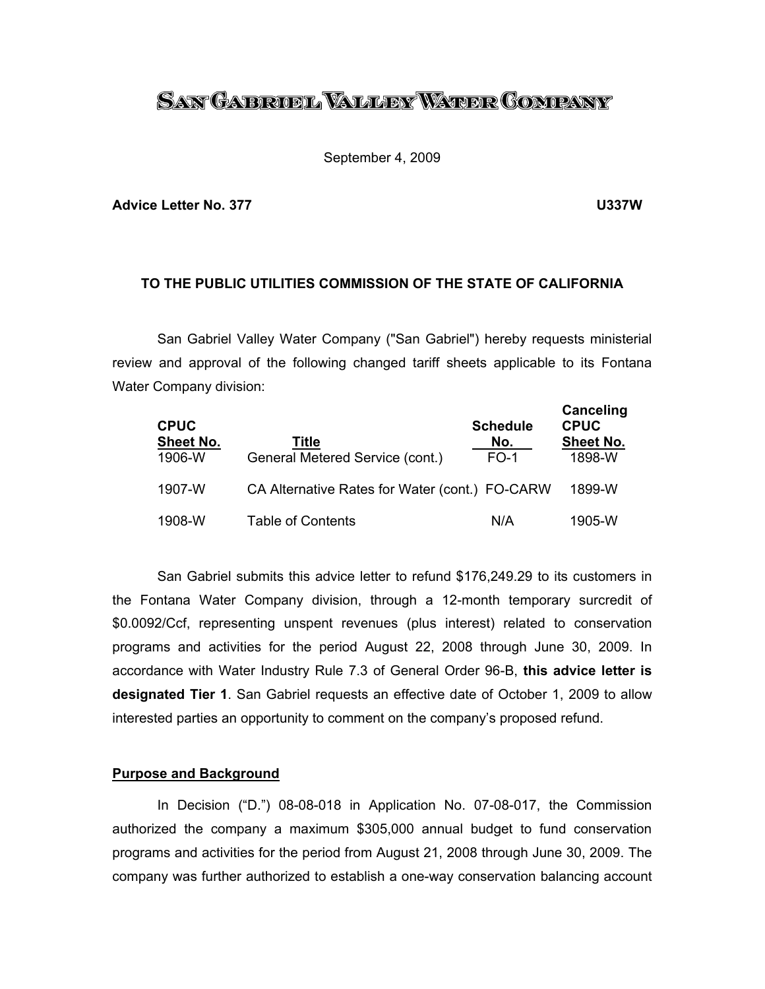# <u>San Gabrobl Waller Water Company</u>

#### September 4, 2009

#### **Advice Letter No. 377 U337W**

# **TO THE PUBLIC UTILITIES COMMISSION OF THE STATE OF CALIFORNIA**

 San Gabriel Valley Water Company ("San Gabriel") hereby requests ministerial review and approval of the following changed tariff sheets applicable to its Fontana Water Company division:

| <b>CPUC</b><br><b>Sheet No.</b><br>1906-W | Title<br>General Metered Service (cont.)       | <b>Schedule</b><br>No.<br>$FO-1$ | Canceling<br><b>CPUC</b><br><b>Sheet No.</b><br>1898-W |
|-------------------------------------------|------------------------------------------------|----------------------------------|--------------------------------------------------------|
| 1907-W                                    | CA Alternative Rates for Water (cont.) FO-CARW |                                  | 1899-W                                                 |
| 1908-W                                    | Table of Contents                              | N/A                              | 1905-W                                                 |

 San Gabriel submits this advice letter to refund \$176,249.29 to its customers in the Fontana Water Company division, through a 12-month temporary surcredit of \$0.0092/Ccf, representing unspent revenues (plus interest) related to conservation programs and activities for the period August 22, 2008 through June 30, 2009. In accordance with Water Industry Rule 7.3 of General Order 96-B, **this advice letter is designated Tier 1**. San Gabriel requests an effective date of October 1, 2009 to allow interested parties an opportunity to comment on the company's proposed refund.

### **Purpose and Background**

 In Decision ("D.") 08-08-018 in Application No. 07-08-017, the Commission authorized the company a maximum \$305,000 annual budget to fund conservation programs and activities for the period from August 21, 2008 through June 30, 2009. The company was further authorized to establish a one-way conservation balancing account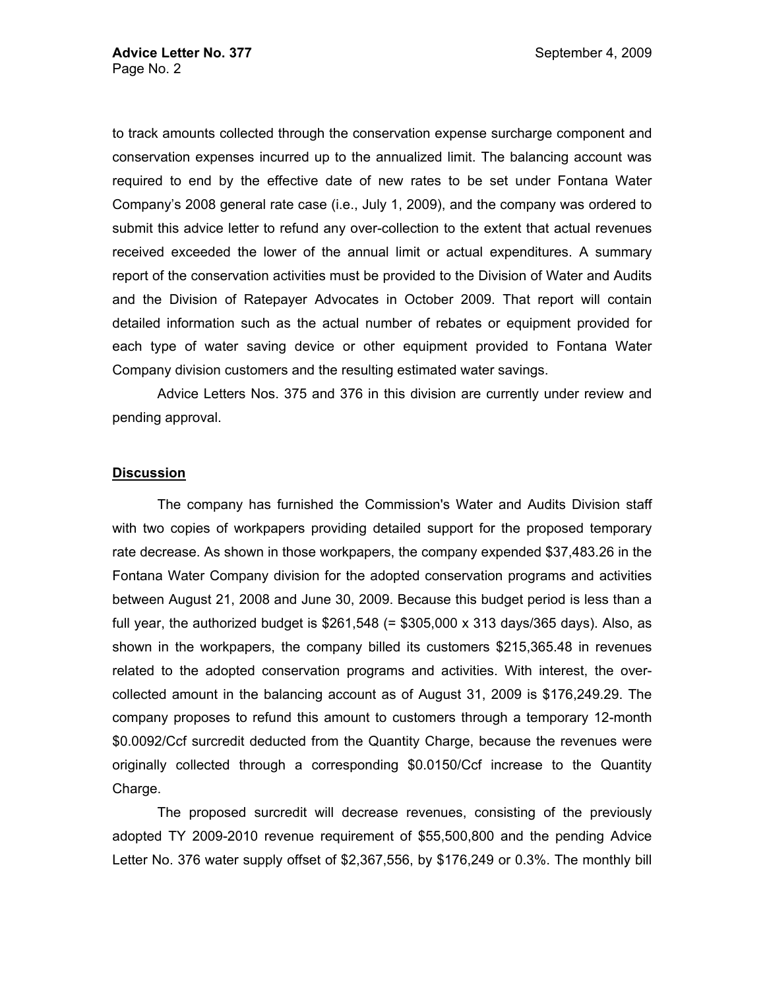to track amounts collected through the conservation expense surcharge component and conservation expenses incurred up to the annualized limit. The balancing account was required to end by the effective date of new rates to be set under Fontana Water Company's 2008 general rate case (i.e., July 1, 2009), and the company was ordered to submit this advice letter to refund any over-collection to the extent that actual revenues received exceeded the lower of the annual limit or actual expenditures. A summary report of the conservation activities must be provided to the Division of Water and Audits and the Division of Ratepayer Advocates in October 2009. That report will contain detailed information such as the actual number of rebates or equipment provided for each type of water saving device or other equipment provided to Fontana Water Company division customers and the resulting estimated water savings.

 Advice Letters Nos. 375 and 376 in this division are currently under review and pending approval.

## **Discussion**

 The company has furnished the Commission's Water and Audits Division staff with two copies of workpapers providing detailed support for the proposed temporary rate decrease. As shown in those workpapers, the company expended \$37,483.26 in the Fontana Water Company division for the adopted conservation programs and activities between August 21, 2008 and June 30, 2009. Because this budget period is less than a full year, the authorized budget is  $$261,548 (= $305,000 \times 313 \text{ days}/365 \text{ days})$ . Also, as shown in the workpapers, the company billed its customers \$215,365.48 in revenues related to the adopted conservation programs and activities. With interest, the overcollected amount in the balancing account as of August 31, 2009 is \$176,249.29. The company proposes to refund this amount to customers through a temporary 12-month \$0.0092/Ccf surcredit deducted from the Quantity Charge, because the revenues were originally collected through a corresponding \$0.0150/Ccf increase to the Quantity Charge.

 The proposed surcredit will decrease revenues, consisting of the previously adopted TY 2009-2010 revenue requirement of \$55,500,800 and the pending Advice Letter No. 376 water supply offset of \$2,367,556, by \$176,249 or 0.3%. The monthly bill